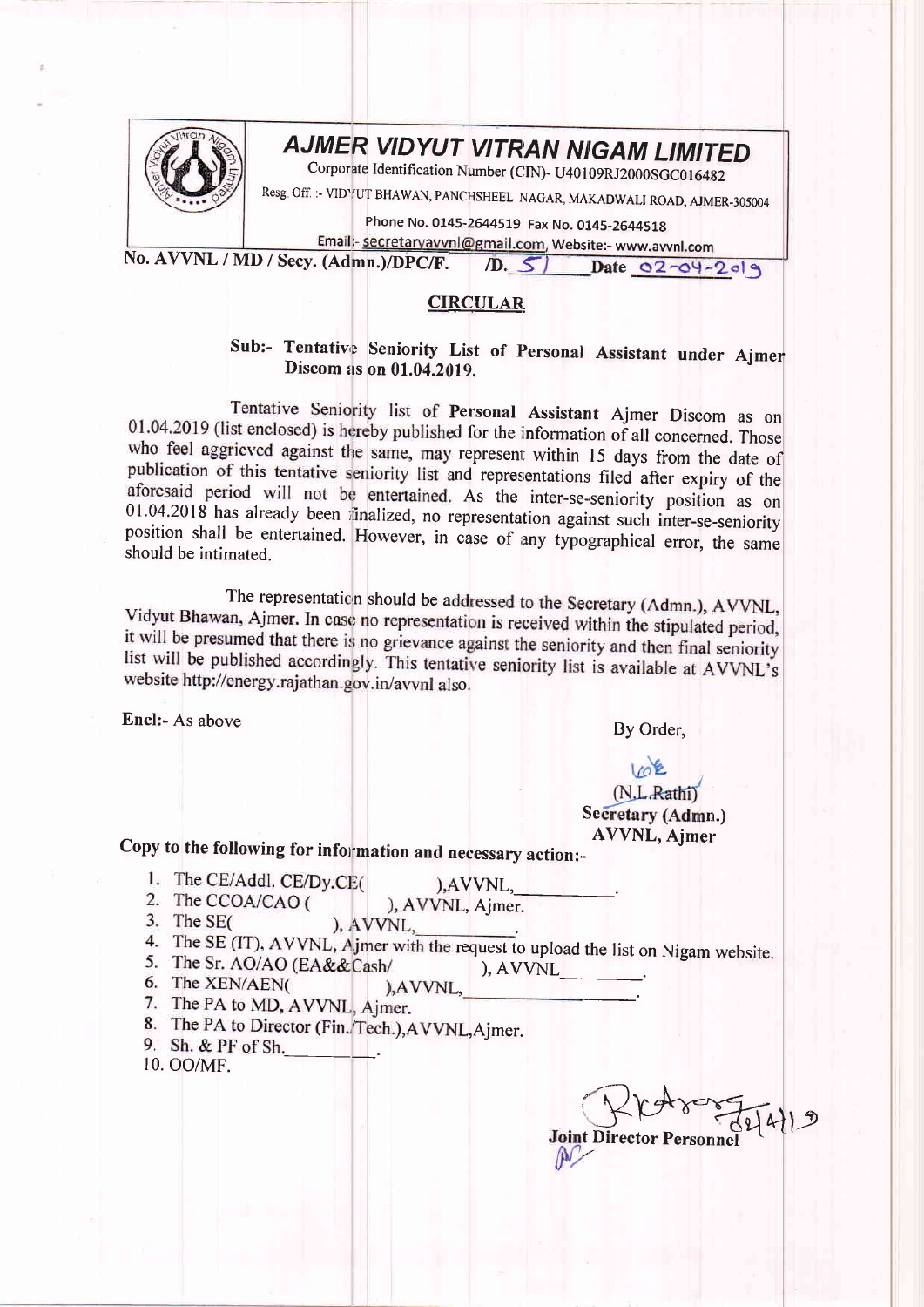

## **AJMER VIDYUT VITRAN NIGAM LIMITED**

Corporate Identification Number (CIN)- U40109RJ2000SGC016482

Resg. Off. :- VIDYUT BHAWAN, PANCHSHEEL NAGAR, MAKADWALI ROAD, AJMER-305004

Phone No. 0145-2644519 Fax No. 0145-2644518

Email:- secretaryavvnl@gmail.com, Website:- www.avvnl.com No. AVVNL / MD / Secy. (Admn.)/DPC/F.

 $(D. 5)$  Date 02-04-2019

## **CIRCULAR**

Sub:- Tentative Seniority List of Personal Assistant under Ajmer Discom as on 01.04.2019.

Tentative Seniority list of Personal Assistant Ajmer Discom as on 01.04.2019 (list enclosed) is hereby published for the information of all concerned. Those who feel aggrieved against the same, may represent within 15 days from the date of publication of this tentative seniority list and representations filed after expiry of the aforesaid period will not be entertained. As the inter-se-seniority position as on 01.04.2018 has already been finalized, no representation against such inter-se-seniority position shall be entertained. However, in case of any typographical error, the same should be intimated.

The representation should be addressed to the Secretary (Admn.), AVVNL, Vidyut Bhawan, Ajmer. In case no representation is received within the stipulated period, it will be presumed that there is no grievance against the seniority and then final seniority list will be published accordingly. This tentative seniority list is available at AVVNL's website http://energy.rajathan.gov.in/avvnl also.

Encl:- As above

By Order,

## $102$

(N.L.Rathi) Secretary (Admn.) **AVVNL, Ajmer** 

Copy to the following for information and necessary action:-

- 1. The CE/Addl. CE/Dy.CE(
	- $AVVNL$ ,
- 2. The CCOA/CAO ( ), AVVNL, Ajmer.
- 3. The  $SE($ ), AVVNL,
- 4. The SE (IT), AVVNL, A jmer with the request to upload the list on Nigam website.
- 5. The Sr. AO/AO (EA&&Cash/  $A V V N L$ 6. The XEN/AEN( ), AVVNL.
- 
- 7. The PA to MD, AVVNL, Ajmer.
- 8. The PA to Director (Fin./Tech.), AVVNL, Ajmer.
- 9. Sh. & PF of Sh. 10. OO/MF.

**Joint Director Personne**